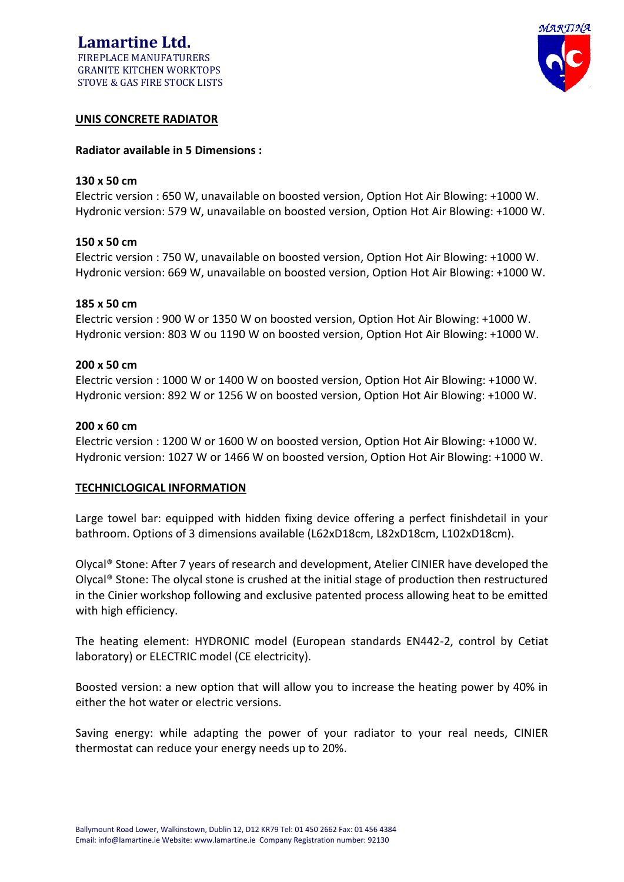# **Lamartine Ltd.** FIREPLACE MANUFATURERS GRANITE KITCHEN WORKTOPS STOVE & GAS FIRE STOCK LISTS



# **UNIS CONCRETE RADIATOR**

### **Radiator available in 5 Dimensions :**

### **130 x 50 cm**

Electric version : 650 W, unavailable on boosted version, Option Hot Air Blowing: +1000 W. Hydronic version: 579 W, unavailable on boosted version, Option Hot Air Blowing: +1000 W.

## **150 x 50 cm**

Electric version : 750 W, unavailable on boosted version, Option Hot Air Blowing: +1000 W. Hydronic version: 669 W, unavailable on boosted version, Option Hot Air Blowing: +1000 W.

### **185 x 50 cm**

Electric version : 900 W or 1350 W on boosted version, Option Hot Air Blowing: +1000 W. Hydronic version: 803 W ou 1190 W on boosted version, Option Hot Air Blowing: +1000 W.

## **200 x 50 cm**

Electric version : 1000 W or 1400 W on boosted version, Option Hot Air Blowing: +1000 W. Hydronic version: 892 W or 1256 W on boosted version, Option Hot Air Blowing: +1000 W.

### **200 x 60 cm**

Electric version : 1200 W or 1600 W on boosted version, Option Hot Air Blowing: +1000 W. Hydronic version: 1027 W or 1466 W on boosted version, Option Hot Air Blowing: +1000 W.

### **TECHNICLOGICAL INFORMATION**

Large towel bar: equipped with hidden fixing device offering a perfect finishdetail in your bathroom. Options of 3 dimensions available (L62xD18cm, L82xD18cm, L102xD18cm).

Olycal® Stone: After 7 years of research and development, Atelier CINIER have developed the Olycal® Stone: The olycal stone is crushed at the initial stage of production then restructured in the Cinier workshop following and exclusive patented process allowing heat to be emitted with high efficiency.

The heating element: HYDRONIC model (European standards EN442-2, control by Cetiat laboratory) or ELECTRIC model (CE electricity).

Boosted version: a new option that will allow you to increase the heating power by 40% in either the hot water or electric versions.

Saving energy: while adapting the power of your radiator to your real needs, CINIER thermostat can reduce your energy needs up to 20%.